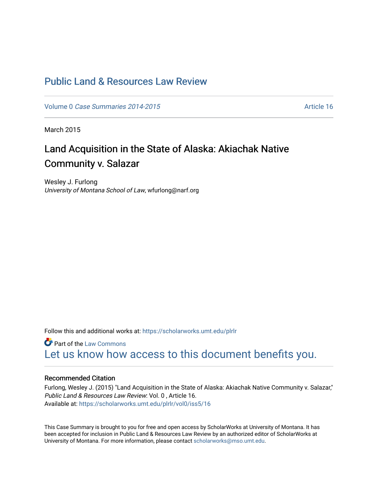## [Public Land & Resources Law Review](https://scholarworks.umt.edu/plrlr)

Volume 0 [Case Summaries 2014-2015](https://scholarworks.umt.edu/plrlr/vol0)

March 2015

# Land Acquisition in the State of Alaska: Akiachak Native Community v. Salazar

Wesley J. Furlong University of Montana School of Law, wfurlong@narf.org

Follow this and additional works at: [https://scholarworks.umt.edu/plrlr](https://scholarworks.umt.edu/plrlr?utm_source=scholarworks.umt.edu%2Fplrlr%2Fvol0%2Fiss5%2F16&utm_medium=PDF&utm_campaign=PDFCoverPages) 

**C** Part of the [Law Commons](http://network.bepress.com/hgg/discipline/578?utm_source=scholarworks.umt.edu%2Fplrlr%2Fvol0%2Fiss5%2F16&utm_medium=PDF&utm_campaign=PDFCoverPages) [Let us know how access to this document benefits you.](https://goo.gl/forms/s2rGfXOLzz71qgsB2) 

## Recommended Citation

Furlong, Wesley J. (2015) "Land Acquisition in the State of Alaska: Akiachak Native Community v. Salazar," Public Land & Resources Law Review: Vol. 0 , Article 16. Available at: [https://scholarworks.umt.edu/plrlr/vol0/iss5/16](https://scholarworks.umt.edu/plrlr/vol0/iss5/16?utm_source=scholarworks.umt.edu%2Fplrlr%2Fvol0%2Fiss5%2F16&utm_medium=PDF&utm_campaign=PDFCoverPages)

This Case Summary is brought to you for free and open access by ScholarWorks at University of Montana. It has been accepted for inclusion in Public Land & Resources Law Review by an authorized editor of ScholarWorks at University of Montana. For more information, please contact [scholarworks@mso.umt.edu.](mailto:scholarworks@mso.umt.edu)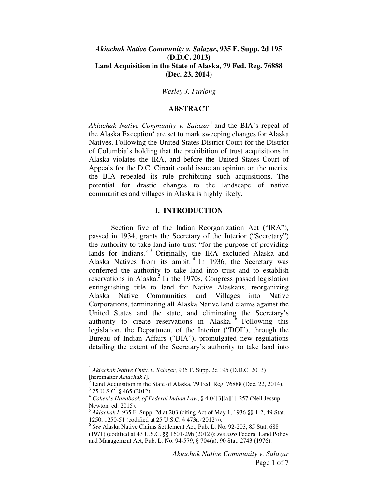## *Akiachak Native Community v. Salazar***, 935 F. Supp. 2d 195 (D.D.C. 2013) Land Acquisition in the State of Alaska, 79 Fed. Reg. 76888 (Dec. 23, 2014)**

#### *Wesley J. Furlong*

#### **ABSTRACT**

Akiachak Native Community v. Salazar<sup>1</sup> and the BIA's repeal of the Alaska Exception<sup>2</sup> are set to mark sweeping changes for Alaska Natives. Following the United States District Court for the District of Columbia's holding that the prohibition of trust acquisitions in Alaska violates the IRA, and before the United States Court of Appeals for the D.C. Circuit could issue an opinion on the merits, the BIA repealed its rule prohibiting such acquisitions. The potential for drastic changes to the landscape of native communities and villages in Alaska is highly likely.

#### **I. INTRODUCTION**

Section five of the Indian Reorganization Act ("IRA"), passed in 1934, grants the Secretary of the Interior ("Secretary") the authority to take land into trust "for the purpose of providing lands for Indians."<sup>3</sup> Originally, the IRA excluded Alaska and Alaska Natives from its ambit.<sup>4</sup> In 1936, the Secretary was conferred the authority to take land into trust and to establish reservations in Alaska.<sup>5</sup> In the 1970s, Congress passed legislation extinguishing title to land for Native Alaskans, reorganizing Alaska Native Communities and Villages into Native Corporations, terminating all Alaska Native land claims against the United States and the state, and eliminating the Secretary's authority to create reservations in Alaska.<sup>6</sup> Following this legislation, the Department of the Interior ("DOI"), through the Bureau of Indian Affairs ("BIA"), promulgated new regulations detailing the extent of the Secretary's authority to take land into

-

<sup>1</sup> *Akiachak Native Cmty. v. Salazar*, 935 F. Supp. 2d 195 (D.D.C. 2013) [hereinafter *Akiachak I*].

<sup>2</sup> Land Acquisition in the State of Alaska, 79 Fed. Reg. 76888 (Dec. 22, 2014).  $3$  25 U.S.C. § 465 (2012).

<sup>4</sup> *Cohen's Handbook of Federal Indian Law*, § 4.04[3][a][i], 257 (Neil Jessup Newton, ed. 2015).

<sup>5</sup> *Akiachak I*, 935 F. Supp. 2d at 203 (citing Act of May 1, 1936 §§ 1-2, 49 Stat. 1250, 1250-51 (codified at 25 U.S.C. § 473a (2012))).

<sup>6</sup> *See* Alaska Native Claims Settlement Act, Pub. L. No. 92-203, 85 Stat. 688 (1971) (codified at 43 U.S.C. §§ 1601-29h (2012)); *see also* Federal Land Policy and Management Act, Pub. L. No. 94-579, § 704(a), 90 Stat. 2743 (1976).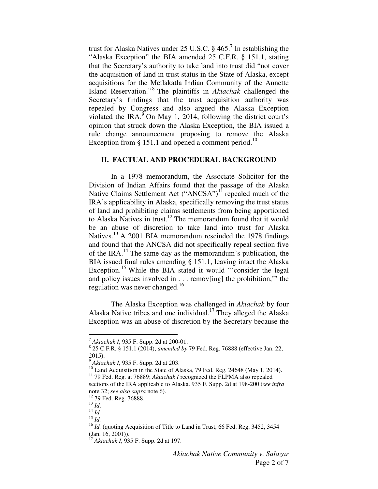trust for Alaska Natives under 25 U.S.C.  $\S$  465.<sup>7</sup> In establishing the "Alaska Exception" the BIA amended 25 C.F.R. § 151.1, stating that the Secretary's authority to take land into trust did "not cover the acquisition of land in trust status in the State of Alaska, except acquisitions for the Metlakatla Indian Community of the Annette Island Reservation." <sup>8</sup> The plaintiffs in *Akiachak* challenged the Secretary's findings that the trust acquisition authority was repealed by Congress and also argued the Alaska Exception violated the IRA. $\rm{P}$ On May 1, 2014, following the district court's opinion that struck down the Alaska Exception, the BIA issued a rule change announcement proposing to remove the Alaska Exception from  $§$  151.1 and opened a comment period.<sup>10</sup>

### **II. FACTUAL AND PROCEDURAL BACKGROUND**

 In a 1978 memorandum, the Associate Solicitor for the Division of Indian Affairs found that the passage of the Alaska Native Claims Settlement Act ("ANCSA")<sup>11</sup> repealed much of the IRA's applicability in Alaska, specifically removing the trust status of land and prohibiting claims settlements from being apportioned to Alaska Natives in trust.<sup>12</sup> The memorandum found that it would be an abuse of discretion to take land into trust for Alaska Natives.<sup>13</sup> A 2001 BIA memorandum rescinded the 1978 findings and found that the ANCSA did not specifically repeal section five of the IRA.<sup>14</sup> The same day as the memorandum's publication, the BIA issued final rules amending § 151.1, leaving intact the Alaska Exception.<sup>15</sup> While the BIA stated it would "'consider the legal and policy issues involved in . . . remov[ing] the prohibition,'" the regulation was never changed.<sup>16</sup>

The Alaska Exception was challenged in *Akiachak* by four Alaska Native tribes and one individual.<sup>17</sup> They alleged the Alaska Exception was an abuse of discretion by the Secretary because the

<u>.</u>

<sup>7</sup> *Akiachak I*, 935 F. Supp. 2d at 200-01.

<sup>8</sup> 25 C.F.R. § 151.1 (2014), *amended by* 79 Fed. Reg. 76888 (effective Jan. 22, 2015).

<sup>9</sup> *Akiachak I*, 935 F. Supp. 2d at 203.

<sup>&</sup>lt;sup>10</sup> Land Acquisition in the State of Alaska, 79 Fed. Reg. 24648 (May 1, 2014). <sup>11</sup> 79 Fed. Reg. at 76889; *Akiachak I* recognized the FLPMA also repealed

sections of the IRA applicable to Alaska. 935 F. Supp. 2d at 198-200 (*see infra*  note 32; *see also supra* note 6).

<sup>&</sup>lt;sup>12</sup> 79 Fed. Reg. 76888.

 $^{13}$  *Id.* 

 $^{14}$  *Id.* 

<sup>15</sup> *Id.* 

<sup>&</sup>lt;sup>16</sup> *Id.* (quoting Acquisition of Title to Land in Trust, 66 Fed. Reg. 3452, 3454  $(Jan. 16, 2001)$ ).

<sup>17</sup> *Akiachak I*, 935 F. Supp. 2d at 197.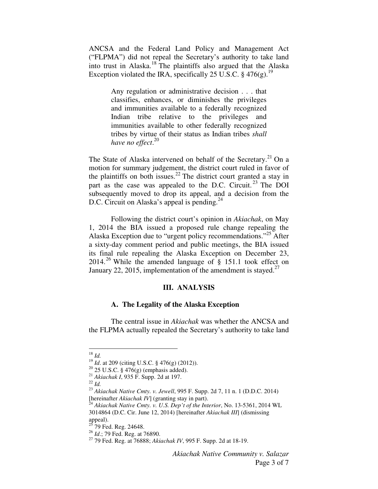ANCSA and the Federal Land Policy and Management Act ("FLPMA") did not repeal the Secretary's authority to take land into trust in Alaska.<sup>18</sup> The plaintiffs also argued that the Alaska Exception violated the IRA, specifically 25 U.S.C. § 476(g).<sup>19</sup>

> Any regulation or administrative decision . . . that classifies, enhances, or diminishes the privileges and immunities available to a federally recognized Indian tribe relative to the privileges and immunities available to other federally recognized tribes by virtue of their status as Indian tribes *shall have no effect*. 20

The State of Alaska intervened on behalf of the Secretary.<sup>21</sup> On a motion for summary judgement, the district court ruled in favor of the plaintiffs on both issues.<sup>22</sup> The district court granted a stay in part as the case was appealed to the D.C. Circuit.<sup>23</sup> The DOI subsequently moved to drop its appeal, and a decision from the D.C. Circuit on Alaska's appeal is pending.<sup>24</sup>

Following the district court's opinion in *Akiachak*, on May 1, 2014 the BIA issued a proposed rule change repealing the Alaska Exception due to "urgent policy recommendations."<sup>25</sup> After a sixty-day comment period and public meetings, the BIA issued its final rule repealing the Alaska Exception on December 23, 2014.<sup>26</sup> While the amended language of  $\S$  151.1 took effect on January 22, 2015, implementation of the amendment is stayed.<sup>27</sup>

#### **III. ANALYSIS**

#### **A. The Legality of the Alaska Exception**

 The central issue in *Akiachak* was whether the ANCSA and the FLPMA actually repealed the Secretary's authority to take land

 $\overline{a}$ 

<sup>18</sup> *Id.*

<sup>19</sup> *Id*. at 209 (citing U.S.C. § 476(g) (2012)).

 $20$  25 U.S.C. § 476(g) (emphasis added).

<sup>21</sup> *Akiachak I*, 935 F. Supp. 2d at 197.

 $^{22}$  *Id.* 

<sup>23</sup> *Akiachak Native Cmty. v. Jewell*, 995 F. Supp. 2d 7, 11 n. 1 (D.D.C. 2014) [hereinafter *Akiachak IV*] (granting stay in part).

<sup>&</sup>lt;sup>4</sup> Akiachak Native Cmty. v. U.S. Dep't of the Interior, No. 13-5361, 2014 WL 3014864 (D.C. Cir. June 12, 2014) [hereinafter *Akiachak III*] (dismissing appeal).

 $25$  79 Fed. Reg. 24648.

<sup>&</sup>lt;sup>26</sup> *Id.*; 79 Fed. Reg. at 76890.

<sup>27</sup> 79 Fed. Reg. at 76888; *Akiachak IV*, 995 F. Supp. 2d at 18-19.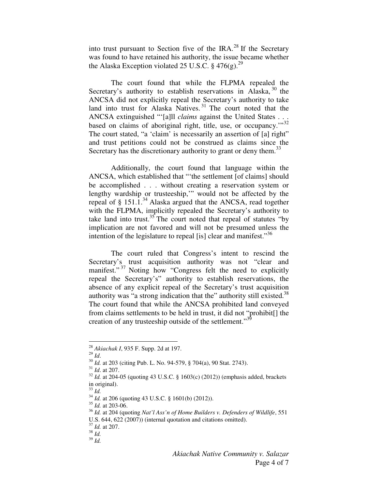into trust pursuant to Section five of the IRA.<sup>28</sup> If the Secretary was found to have retained his authority, the issue became whether the Alaska Exception violated 25 U.S.C.  $\S$  476(g).<sup>29</sup>

 The court found that while the FLPMA repealed the Secretary's authority to establish reservations in Alaska, <sup>30</sup> the ANCSA did not explicitly repeal the Secretary's authority to take land into trust for Alaska Natives.<sup>31</sup> The court noted that the ANCSA extinguished "'[a]ll *claims* against the United States . . . based on claims of aboriginal right, title, use, or occupancy."<sup>32</sup> The court stated, "a 'claim' is necessarily an assertion of [a] right" and trust petitions could not be construed as claims since the Secretary has the discretionary authority to grant or deny them.<sup>33</sup>

 Additionally, the court found that language within the ANCSA, which established that "'the settlement [of claims] should be accomplished . . . without creating a reservation system or lengthy wardship or trusteeship,'" would not be affected by the repeal of § 151.1.<sup>34</sup> Alaska argued that the ANCSA, read together with the FLPMA, implicitly repealed the Secretary's authority to take land into trust.<sup>35</sup> The court noted that repeal of statutes "by implication are not favored and will not be presumed unless the intention of the legislature to repeal [is] clear and manifest."<sup>36</sup>

The court ruled that Congress's intent to rescind the Secretary's trust acquisition authority was not "clear and manifest."<sup>37</sup> Noting how "Congress felt the need to explicitly repeal the Secretary's" authority to establish reservations, the absence of any explicit repeal of the Secretary's trust acquisition authority was "a strong indication that the" authority still existed.<sup>38</sup> The court found that while the ANCSA prohibited land conveyed from claims settlements to be held in trust, it did not "prohibit[] the creation of any trusteeship outside of the settlement."<sup>39</sup>

<sup>29</sup> *Id*.

 $\overline{a}$ 

<sup>28</sup> *Akiachak I*, 935 F. Supp. 2d at 197.

<sup>30</sup> *Id.* at 203 (citing Pub. L. No. 94-579, § 704(a), 90 Stat. 2743).

<sup>31</sup> *Id*. at 207.

<sup>32</sup> *Id.* at 204-05 (quoting 43 U.S.C. § 1603(c) (2012)) (emphasis added, brackets in original).

<sup>33</sup> *Id.* 

<sup>34</sup> *Id.* at 206 (quoting 43 U.S.C. § 1601(b) (2012)).

<sup>35</sup> *Id.* at 203-06.

<sup>36</sup> *Id.* at 204 (quoting *Nat'l Ass'n of Home Builders v. Defenders of Wildlife*, 551 U.S. 644, 622 (2007)) (internal quotation and citations omitted).

<sup>37</sup> *Id.* at 207.

<sup>38</sup> *Id.* 

<sup>39</sup> *Id.*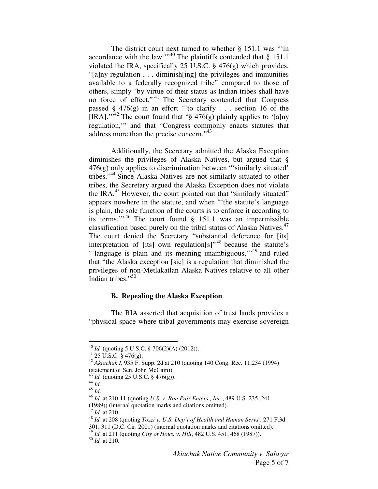The district court next turned to whether  $\S$  151.1 was "in accordance with the law."<sup>40</sup> The plaintiffs contended that  $\S 151.1$ violated the IRA, specifically 25 U.S.C.  $\S$  476(g) which provides, "[a]ny regulation . . . diminish[ing] the privileges and immunities available to a federally recognized tribe" compared to those of others, simply "by virtue of their status as Indian tribes shall have no force of effect." <sup>41</sup> The Secretary contended that Congress passed  $\S$  476(g) in an effort "to clarify . . . section 16 of the [IRA]."<sup>42</sup> The court found that " $\S$  476(g) plainly applies to '[a]ny regulation,'" and that "Congress commonly enacts statutes that address more than the precise concern."<sup>43</sup>

Additionally, the Secretary admitted the Alaska Exception diminishes the privileges of Alaska Natives, but argued that § 476(g) only applies to discrimination between "'similarly situated' tribes."<sup>44</sup> Since Alaska Natives are not similarly situated to other tribes, the Secretary argued the Alaska Exception does not violate the IRA.<sup>45</sup> However, the court pointed out that "similarly situated" appears nowhere in the statute, and when "'the statute's language is plain, the sole function of the courts is to enforce it according to its terms.'" <sup>46</sup> The court found § 151.1 was an impermissible classification based purely on the tribal status of Alaska Natives.<sup>47</sup> The court denied the Secretary "substantial deference for [its] interpretation of [its] own regulation[s]<sup> $n^{48}$ </sup> because the statute's "'language is plain and its meaning unambiguous,"<sup>49</sup> and ruled that "the Alaska exception [sic] is a regulation that diminished the privileges of non-Metlakatlan Alaska Natives relative to all other Indian tribes."<sup>50</sup>

#### **B. Repealing the Alaska Exception**

The BIA asserted that acquisition of trust lands provides a "physical space where tribal governments may exercise sovereign

-

<sup>40</sup> *Id.* (quoting 5 U.S.C. § 706(2)(A) (2012)).

 $41\overline{25}$  U.S.C.  $\overline{\S}$  476(g).

<sup>42</sup> *Akiachak I*, 935 F. Supp. 2d at 210 (quoting 140 Cong. Rec. 11,234 (1994) (statement of Sen. John McCain)).

 $^{43}$  *Id.* (quoting 25 U.S.C. § 476(g)).

 $^{44}$  *Id.* 

<sup>45</sup> *Id*.

<sup>46</sup> *Id.* at 210-11 (quoting *U.S. v. Ron Pair Enters., Inc.*, 489 U.S. 235, 241 (1989)) (internal quotation marks and citations omitted).

 $^{7}$  *Id.* at 210.

<sup>48</sup> *Id.* at 208 (quoting *Tozzi v. U.S. Dep't of Health and Human Servs.*, 271 F.3d 301, 311 (D.C. Cir. 2001) (internal quotation marks and citations omitted).

<sup>49</sup> *Id.* at 211 (quoting *City of Hous. v. Hill*, 482 U.S. 451, 468 (1987)).

<sup>50</sup> *Id.* at 210.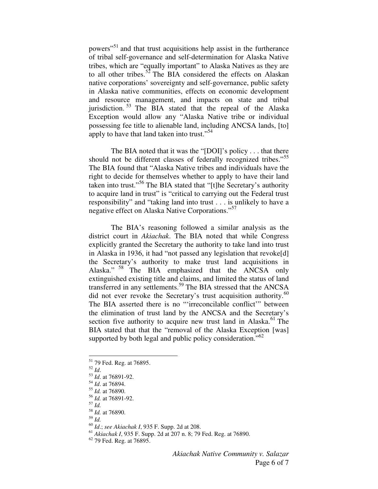powers"<sup>51</sup> and that trust acquisitions help assist in the furtherance of tribal self-governance and self-determination for Alaska Native tribes, which are "equally important" to Alaska Natives as they are to all other tribes.<sup>52</sup> The BIA considered the effects on Alaskan native corporations' sovereignty and self-governance, public safety in Alaska native communities, effects on economic development and resource management, and impacts on state and tribal jurisdiction.<sup>53</sup> The BIA stated that the repeal of the Alaska Exception would allow any "Alaska Native tribe or individual possessing fee title to alienable land, including ANCSA lands, [to] apply to have that land taken into trust."<sup>54</sup>

The BIA noted that it was the "[DOI]'s policy . . . that there should not be different classes of federally recognized tribes."<sup>55</sup> The BIA found that "Alaska Native tribes and individuals have the right to decide for themselves whether to apply to have their land taken into trust."<sup>56</sup> The BIA stated that "[t]he Secretary's authority to acquire land in trust" is "critical to carrying out the Federal trust responsibility" and "taking land into trust . . . is unlikely to have a negative effect on Alaska Native Corporations."<sup>57</sup>

The BIA's reasoning followed a similar analysis as the district court in *Akiachak*. The BIA noted that while Congress explicitly granted the Secretary the authority to take land into trust in Alaska in 1936, it had "not passed any legislation that revoke[d] the Secretary's authority to make trust land acquisitions in Alaska." <sup>58</sup> The BIA emphasized that the ANCSA only extinguished existing title and claims, and limited the status of land transferred in any settlements.<sup>59</sup> The BIA stressed that the ANCSA did not ever revoke the Secretary's trust acquisition authority.<sup>60</sup> The BIA asserted there is no "'irreconcilable conflict'" between the elimination of trust land by the ANCSA and the Secretary's section five authority to acquire new trust land in Alaska.<sup>61</sup> The BIA stated that that the "removal of the Alaska Exception [was] supported by both legal and public policy consideration."<sup>62</sup>

 $\overline{a}$ 

<sup>59</sup> *Id.*

<sup>62</sup> 79 Fed. Reg. at 76895.

<sup>&</sup>lt;sup>51</sup> 79 Fed. Reg. at 76895.

<sup>52</sup> *Id*.

<sup>53</sup> *Id*. at 76891-92.

<sup>54</sup> *Id*. at 76894.

<sup>55</sup> *Id.* at 76890.

<sup>56</sup> *Id.* at 76891-92.

<sup>57</sup> *Id.* 

<sup>58</sup> *Id.* at 76890.

<sup>60</sup> *Id*.; *see Akiachak I*, 935 F. Supp. 2d at 208.

<sup>61</sup> *Akiachak I*, 935 F. Supp. 2d at 207 n. 8; 79 Fed. Reg. at 76890.